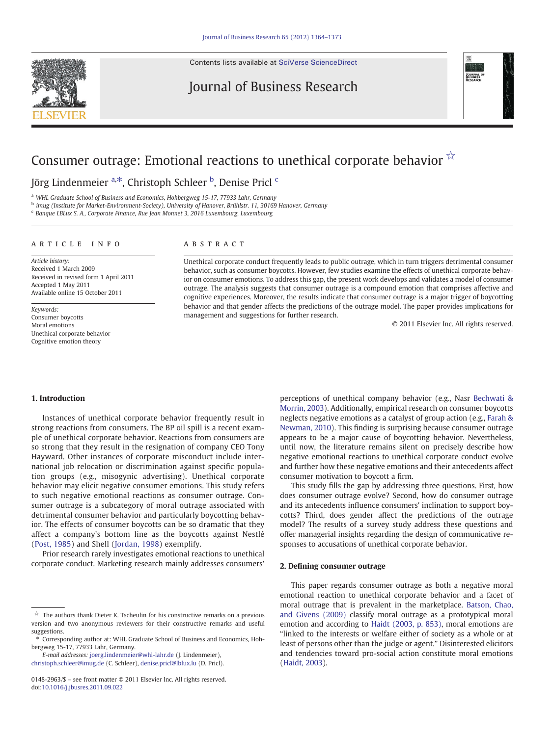Contents lists available at [SciVerse ScienceDirect](http://www.sciencedirect.com/science/journal/01482963)

## Journal of Business Research



# Consumer outrage: Emotional reactions to unethical corporate behavior  $\hat{X}$

## Jörg Lindenmeier <sup>a,\*</sup>, Christoph Schleer <sup>b</sup>, Denise Pricl <sup>c</sup>

a WHL Graduate School of Business and Economics, Hohbergweg 15-17, 77933 Lahr, Germany

<sup>b</sup> imug (Institute for Market-Environment-Society), University of Hanover, Brühlstr. 11, 30169 Hanover, Germany

<sup>c</sup> Banque LBLux S. A., Corporate Finance, Rue Jean Monnet 3, 2016 Luxembourg, Luxembourg

### article info abstract

Article history: Received 1 March 2009 Received in revised form 1 April 2011 Accepted 1 May 2011 Available online 15 October 2011

Keywords: Consumer boycotts Moral emotions Unethical corporate behavior Cognitive emotion theory

Unethical corporate conduct frequently leads to public outrage, which in turn triggers detrimental consumer behavior, such as consumer boycotts. However, few studies examine the effects of unethical corporate behavior on consumer emotions. To address this gap, the present work develops and validates a model of consumer outrage. The analysis suggests that consumer outrage is a compound emotion that comprises affective and cognitive experiences. Moreover, the results indicate that consumer outrage is a major trigger of boycotting behavior and that gender affects the predictions of the outrage model. The paper provides implications for management and suggestions for further research.

© 2011 Elsevier Inc. All rights reserved.

#### 1. Introduction

Instances of unethical corporate behavior frequently result in strong reactions from consumers. The BP oil spill is a recent example of unethical corporate behavior. Reactions from consumers are so strong that they result in the resignation of company CEO Tony Hayward. Other instances of corporate misconduct include international job relocation or discrimination against specific population groups (e.g., misogynic advertising). Unethical corporate behavior may elicit negative consumer emotions. This study refers to such negative emotional reactions as consumer outrage. Consumer outrage is a subcategory of moral outrage associated with detrimental consumer behavior and particularly boycotting behavior. The effects of consumer boycotts can be so dramatic that they affect a company's bottom line as the boycotts against Nestlé [\(Post, 1985\)](#page--1-0) and Shell ([Jordan, 1998\)](#page--1-0) exemplify.

Prior research rarely investigates emotional reactions to unethical corporate conduct. Marketing research mainly addresses consumers'

E-mail addresses: [joerg.lindenmeier@whl-lahr.de](mailto:joerg.lindenmeier@whl-lahr.de) (J. Lindenmeier),

[christoph.schleer@imug.de](mailto:christoph.schleer@imug.de) (C. Schleer), [denise.pricl@lblux.lu](mailto:denise.pricl@lblux.lu) (D. Pricl).

perceptions of unethical company behavior (e.g., Nasr [Bechwati &](#page--1-0) [Morrin, 2003](#page--1-0)). Additionally, empirical research on consumer boycotts neglects negative emotions as a catalyst of group action (e.g., [Farah &](#page--1-0) [Newman, 2010\)](#page--1-0). This finding is surprising because consumer outrage appears to be a major cause of boycotting behavior. Nevertheless, until now, the literature remains silent on precisely describe how negative emotional reactions to unethical corporate conduct evolve and further how these negative emotions and their antecedents affect consumer motivation to boycott a firm.

This study fills the gap by addressing three questions. First, how does consumer outrage evolve? Second, how do consumer outrage and its antecedents influence consumers' inclination to support boycotts? Third, does gender affect the predictions of the outrage model? The results of a survey study address these questions and offer managerial insights regarding the design of communicative responses to accusations of unethical corporate behavior.

#### 2. Defining consumer outrage

This paper regards consumer outrage as both a negative moral emotional reaction to unethical corporate behavior and a facet of moral outrage that is prevalent in the marketplace. [Batson, Chao,](#page--1-0) [and Givens \(2009\)](#page--1-0) classify moral outrage as a prototypical moral emotion and according to [Haidt \(2003, p. 853\),](#page--1-0) moral emotions are "linked to the interests or welfare either of society as a whole or at least of persons other than the judge or agent." Disinterested elicitors and tendencies toward pro-social action constitute moral emotions [\(Haidt, 2003\)](#page--1-0).

 $\overrightarrow{x}$  The authors thank Dieter K. Tscheulin for his constructive remarks on a previous version and two anonymous reviewers for their constructive remarks and useful suggestions.

<sup>⁎</sup> Corresponding author at: WHL Graduate School of Business and Economics, Hohbergweg 15-17, 77933 Lahr, Germany.

<sup>0148-2963/\$</sup> – see front matter © 2011 Elsevier Inc. All rights reserved. doi[:10.1016/j.jbusres.2011.09.022](http://dx.doi.org/10.1016/j.jbusres.2011.09.022)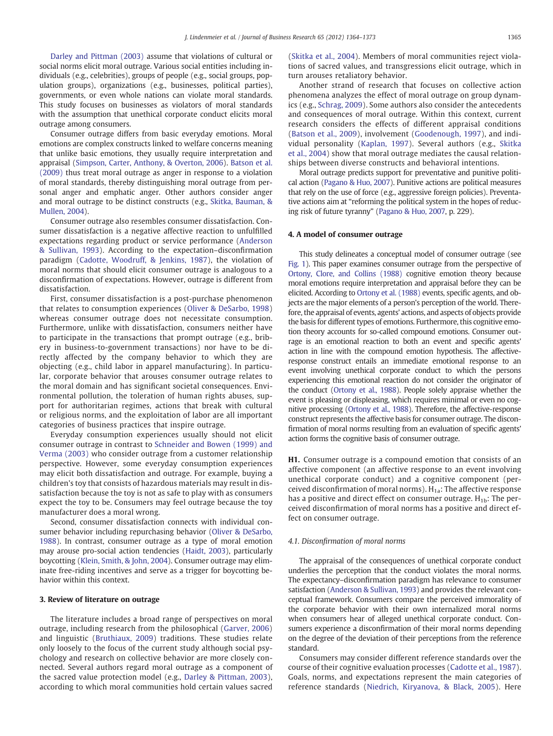[Darley and Pittman \(2003\)](#page--1-0) assume that violations of cultural or social norms elicit moral outrage. Various social entities including individuals (e.g., celebrities), groups of people (e.g., social groups, population groups), organizations (e.g., businesses, political parties), governments, or even whole nations can violate moral standards. This study focuses on businesses as violators of moral standards with the assumption that unethical corporate conduct elicits moral outrage among consumers.

Consumer outrage differs from basic everyday emotions. Moral emotions are complex constructs linked to welfare concerns meaning that unlike basic emotions, they usually require interpretation and appraisal ([Simpson, Carter, Anthony, & Overton, 2006](#page--1-0)). [Batson et al.](#page--1-0) [\(2009\)](#page--1-0) thus treat moral outrage as anger in response to a violation of moral standards, thereby distinguishing moral outrage from personal anger and emphatic anger. Other authors consider anger and moral outrage to be distinct constructs (e.g., [Skitka, Bauman, &](#page--1-0)  $M$ ullen, 2004).

Consumer outrage also resembles consumer dissatisfaction. Consumer dissatisfaction is a negative affective reaction to unfulfilled expectations regarding product or service performance [\(Anderson](#page--1-0) [& Sullivan, 1993\)](#page--1-0). According to the expectation–disconfirmation paradigm ([Cadotte, Woodruff, & Jenkins, 1987\)](#page--1-0), the violation of moral norms that should elicit consumer outrage is analogous to a disconfirmation of expectations. However, outrage is different from dissatisfaction.

First, consumer dissatisfaction is a post-purchase phenomenon that relates to consumption experiences ([Oliver & DeSarbo, 1998](#page--1-0)) whereas consumer outrage does not necessitate consumption. Furthermore, unlike with dissatisfaction, consumers neither have to participate in the transactions that prompt outrage (e.g., bribery in business-to-government transactions) nor have to be directly affected by the company behavior to which they are objecting (e.g., child labor in apparel manufacturing). In particular, corporate behavior that arouses consumer outrage relates to the moral domain and has significant societal consequences. Environmental pollution, the toleration of human rights abuses, support for authoritarian regimes, actions that break with cultural or religious norms, and the exploitation of labor are all important categories of business practices that inspire outrage.

Everyday consumption experiences usually should not elicit consumer outrage in contrast to [Schneider and Bowen \(1999\) and](#page--1-0) [Verma \(2003\)](#page--1-0) who consider outrage from a customer relationship perspective. However, some everyday consumption experiences may elicit both dissatisfaction and outrage. For example, buying a children's toy that consists of hazardous materials may result in dissatisfaction because the toy is not as safe to play with as consumers expect the toy to be. Consumers may feel outrage because the toy manufacturer does a moral wrong.

Second, consumer dissatisfaction connects with individual consumer behavior including repurchasing behavior [\(Oliver & DeSarbo,](#page--1-0) [1988\)](#page--1-0). In contrast, consumer outrage as a type of moral emotion may arouse pro-social action tendencies ([Haidt, 2003](#page--1-0)), particularly boycotting ([Klein, Smith, & John, 2004\)](#page--1-0). Consumer outrage may eliminate free-riding incentives and serve as a trigger for boycotting behavior within this context.

#### 3. Review of literature on outrage

The literature includes a broad range of perspectives on moral outrage, including research from the philosophical [\(Garver, 2006](#page--1-0)) and linguistic ([Bruthiaux, 2009](#page--1-0)) traditions. These studies relate only loosely to the focus of the current study although social psychology and research on collective behavior are more closely connected. Several authors regard moral outrage as a component of the sacred value protection model (e.g., [Darley & Pittman, 2003](#page--1-0)), according to which moral communities hold certain values sacred

[\(Skitka et al., 2004](#page--1-0)). Members of moral communities reject violations of sacred values, and transgressions elicit outrage, which in turn arouses retaliatory behavior.

Another strand of research that focuses on collective action phenomena analyzes the effect of moral outrage on group dynamics (e.g., [Schrag, 2009\)](#page--1-0). Some authors also consider the antecedents and consequences of moral outrage. Within this context, current research considers the effects of different appraisal conditions [\(Batson et al., 2009\)](#page--1-0), involvement ([Goodenough, 1997](#page--1-0)), and individual personality ([Kaplan, 1997](#page--1-0)). Several authors (e.g., [Skitka](#page--1-0) [et al., 2004\)](#page--1-0) show that moral outrage mediates the causal relationships between diverse constructs and behavioral intentions.

Moral outrage predicts support for preventative and punitive political action [\(Pagano & Huo, 2007](#page--1-0)). Punitive actions are political measures that rely on the use of force (e.g., aggressive foreign policies). Preventative actions aim at "reforming the political system in the hopes of reducing risk of future tyranny" [\(Pagano & Huo, 2007,](#page--1-0) p. 229).

#### 4. A model of consumer outrage

This study delineates a conceptual model of consumer outrage (see [Fig. 1](#page--1-0)). This paper examines consumer outrage from the perspective of [Ortony, Clore, and Collins \(1988\)](#page--1-0) cognitive emotion theory because moral emotions require interpretation and appraisal before they can be elicited. According to [Ortony et al. \(1988\)](#page--1-0) events, specific agents, and objects are the major elements of a person's perception of the world. Therefore, the appraisal of events, agents' actions, and aspects of objects provide the basis for different types of emotions. Furthermore, this cognitive emotion theory accounts for so-called compound emotions. Consumer outrage is an emotional reaction to both an event and specific agents' action in line with the compound emotion hypothesis. The affectiveresponse construct entails an immediate emotional response to an event involving unethical corporate conduct to which the persons experiencing this emotional reaction do not consider the originator of the conduct [\(Ortony et al., 1988\)](#page--1-0). People solely appraise whether the event is pleasing or displeasing, which requires minimal or even no cognitive processing [\(Ortony et al., 1988](#page--1-0)). Therefore, the affective-response construct represents the affective basis for consumer outrage. The disconfirmation of moral norms resulting from an evaluation of specific agents' action forms the cognitive basis of consumer outrage.

H1. Consumer outrage is a compound emotion that consists of an affective component (an affective response to an event involving unethical corporate conduct) and a cognitive component (perceived disconfirmation of moral norms).  $H_{1a}$ : The affective response has a positive and direct effect on consumer outrage.  $H_{1b}$ : The perceived disconfirmation of moral norms has a positive and direct effect on consumer outrage.

#### 4.1. Disconfirmation of moral norms

The appraisal of the consequences of unethical corporate conduct underlies the perception that the conduct violates the moral norms. The expectancy–disconfirmation paradigm has relevance to consumer satisfaction ([Anderson & Sullivan, 1993](#page--1-0)) and provides the relevant conceptual framework. Consumers compare the perceived immorality of the corporate behavior with their own internalized moral norms when consumers hear of alleged unethical corporate conduct. Consumers experience a disconfirmation of their moral norms depending on the degree of the deviation of their perceptions from the reference standard.

Consumers may consider different reference standards over the course of their cognitive evaluation processes [\(Cadotte et al., 1987](#page--1-0)). Goals, norms, and expectations represent the main categories of reference standards [\(Niedrich, Kiryanova, & Black, 2005\)](#page--1-0). Here